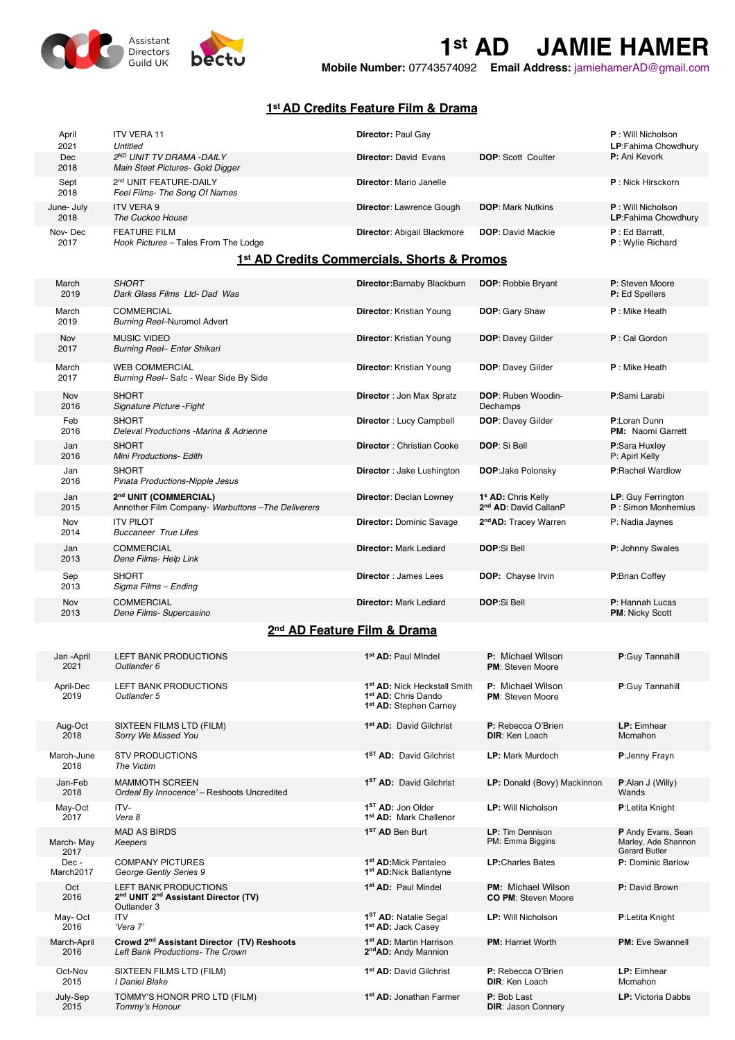

**1st AD JAMIE HAMER Mobile Number:** <sup>07743574092</sup> **Email Address:** jamiehamerAD@gmail.com

## **1st AD Credits Feature Film & Drama**

| April<br>2021      | <b>ITV VERA 11</b><br>Untitled                               | <b>Director: Paul Gay</b>          |                           | <b>P</b> : Will Nicholson<br><b>LP:</b> Fahima Chowdhury |
|--------------------|--------------------------------------------------------------|------------------------------------|---------------------------|----------------------------------------------------------|
| Dec<br>2018        | 2ND UNIT TV DRAMA -DAILY<br>Main Steet Pictures- Gold Digger | <b>Director: David Evans</b>       | <b>DOP: Scott Coulter</b> | P: Ani Kevork                                            |
| Sept<br>2018       | 2nd UNIT FEATURE-DAILY<br>Feel Films- The Song Of Names      | <b>Director: Mario Janelle</b>     |                           | <b>P</b> : Nick Hirsckorn                                |
| June- July<br>2018 | <b>ITV VERA 9</b><br>The Cuckoo House                        | <b>Director: Lawrence Gough</b>    | <b>DOP:</b> Mark Nutkins  | <b>P</b> : Will Nicholson<br><b>LP:Fahima Chowdhury</b>  |
| Nov-Dec<br>2017    | <b>FEATURE FILM</b><br>Hook Pictures - Tales From The Lodge  | <b>Director: Abigail Blackmore</b> | <b>DOP:</b> David Mackie  | P: Ed Barratt,<br><b>P</b> : Wylie Richard               |

## **1st AD Credits Commercials, Shorts & Promos**

| March<br>2019                           | <b>SHORT</b><br>Dark Glass Films Ltd- Dad Was                             | Director: Barnaby Blackburn       | <b>DOP: Robbie Bryant</b>                                           | P: Steven Moore<br>P: Ed Spellers          |
|-----------------------------------------|---------------------------------------------------------------------------|-----------------------------------|---------------------------------------------------------------------|--------------------------------------------|
| March<br>2019                           | COMMERCIAL<br>Burning Reel-Nuromol Advert                                 | Director: Kristian Young          | DOP: Gary Shaw                                                      | $P:$ Mike Heath                            |
| Nov<br>2017                             | MUSIC VIDEO<br>Burning Reel- Enter Shikari                                | <b>Director:</b> Kristian Young   | <b>DOP: Davey Gilder</b>                                            | P: Cal Gordon                              |
| March<br>2017                           | <b>WEB COMMERCIAL</b><br>Burning Reel-Safc - Wear Side By Side            | Director: Kristian Young          | <b>DOP: Davey Gilder</b>                                            | $P:$ Mike Heath                            |
| Nov<br>2016                             | <b>SHORT</b><br>Signature Picture - Fight                                 | <b>Director: Jon Max Spratz</b>   | <b>DOP: Ruben Woodin-</b><br>Dechamps                               | P:Sami Larabi                              |
| Feb<br>2016                             | <b>SHORT</b><br>Deleval Productions -Marina & Adrienne                    | Director: Lucy Campbell           | <b>DOP: Davey Gilder</b>                                            | P:Loran Dunn<br><b>PM:</b> Naomi Garrett   |
| Jan<br>2016                             | <b>SHORT</b><br><b>Mini Productions- Edith</b>                            | Director: Christian Cooke         | DOP: Si Bell                                                        | P:Sara Huxley<br>P: Apirl Kelly            |
| Jan<br>2016                             | <b>SHORT</b><br>Pinata Productions-Nipple Jesus                           | <b>Director</b> : Jake Lushington | <b>DOP:Jake Polonsky</b>                                            | <b>P:Rachel Wardlow</b>                    |
| Jan<br>2015                             | 2nd UNIT (COMMERCIAL)<br>Annother Film Company- Warbuttons-The Deliverers | <b>Director: Declan Lowney</b>    | 1 <sup>s</sup> AD: Chris Kelly<br>2 <sup>nd</sup> AD: David CallanP | LP: Guy Ferrington<br>$P:$ Simon Monhemius |
| Nov<br>2014                             | <b>ITV PILOT</b><br><b>Buccaneer True Lifes</b>                           | <b>Director: Dominic Savage</b>   | 2 <sup>nd</sup> AD: Tracey Warren                                   | P: Nadia Jaynes                            |
| Jan<br>2013                             | <b>COMMERCIAL</b><br>Dene Films- Help Link                                | <b>Director: Mark Lediard</b>     | <b>DOP:Si Bell</b>                                                  | P: Johnny Swales                           |
| Sep<br>2013                             | <b>SHORT</b><br>Sigma Films - Ending                                      | <b>Director: James Lees</b>       | DOP: Chayse Irvin                                                   | P:Brian Coffey                             |
| Nov<br>2013                             | <b>COMMERCIAL</b><br>Dene Films- Supercasino                              | <b>Director: Mark Lediard</b>     | <b>DOP:Si Bell</b>                                                  | P: Hannah Lucas<br>PM: Nicky Scott         |
| 2 <sup>nd</sup> AD Feature Film & Drama |                                                                           |                                   |                                                                     |                                            |
| $\mathbf{r}$ and $\mathbf{r}$           | IETT D1111E DQQU1QTQ1Q                                                    | $101$ $\mu$ m $\mu$ $\mu$ $\mu$   | $A = 1.41 - 1.11$                                                   | ----                                       |

| Jan -April<br>2021  | <b>LEFT BANK PRODUCTIONS</b><br>Outlander 6                                                                 | 1 <sup>st</sup> AD: Paul Mindel                                                                                   | <b>P:</b> Michael Wilson<br><b>PM: Steven Moore</b>     | P:Guy Tannahill                                                   |
|---------------------|-------------------------------------------------------------------------------------------------------------|-------------------------------------------------------------------------------------------------------------------|---------------------------------------------------------|-------------------------------------------------------------------|
| April-Dec<br>2019   | LEFT BANK PRODUCTIONS<br>Outlander 5                                                                        | 1 <sup>st</sup> AD: Nick Heckstall Smith<br>1 <sup>st</sup> AD: Chris Dando<br>1 <sup>st</sup> AD: Stephen Carney | P: Michael Wilson<br><b>PM:</b> Steven Moore            | P:Guy Tannahill                                                   |
| Aug-Oct<br>2018     | SIXTEEN FILMS LTD (FILM)<br>Sorry We Missed You                                                             | 1 <sup>st</sup> AD: David Gilchrist                                                                               | P: Rebecca O'Brien<br><b>DIR:</b> Ken Loach             | LP: Eimhear<br>Mcmahon                                            |
| March-June<br>2018  | <b>STV PRODUCTIONS</b><br>The Victim                                                                        | 1 <sup>ST</sup> AD: David Gilchrist                                                                               | <b>LP: Mark Murdoch</b>                                 | P:Jenny Frayn                                                     |
| Jan-Feb<br>2018     | <b>MAMMOTH SCREEN</b><br>Ordeal By Innocence' - Reshoots Uncredited                                         | 1 <sup>ST</sup> AD: David Gilchrist                                                                               | LP: Donald (Bovy) Mackinnon                             | $P:$ Alan J (Willy)<br>Wands                                      |
| May-Oct<br>2017     | ITV-<br>Vera 8                                                                                              | 1 <sup>ST</sup> AD: Jon Older<br>1st AD: Mark Challenor                                                           | <b>LP:</b> Will Nicholson                               | P:Letita Knight                                                   |
| March-May<br>2017   | <b>MAD AS BIRDS</b><br>Keepers                                                                              | 1 <sup>ST</sup> AD Ben Burt                                                                                       | <b>LP:</b> Tim Dennison<br>PM: Emma Biggins             | P Andy Evans, Sean<br>Marley, Ade Shannon<br><b>Gerard Butler</b> |
| Dec-<br>March2017   | <b>COMPANY PICTURES</b><br>George Gently Series 9                                                           | 1 <sup>st</sup> AD: Mick Pantaleo<br>1 <sup>st</sup> AD: Nick Ballantyne                                          | <b>LP:</b> Charles Bates                                | P: Dominic Barlow                                                 |
| Oct<br>2016         | <b>LEFT BANK PRODUCTIONS</b><br>2 <sup>nd</sup> UNIT 2 <sup>nd</sup> Assistant Director (TV)<br>Outlander 3 | 1 <sup>st</sup> AD: Paul Mindel                                                                                   | <b>PM:</b> Michael Wilson<br><b>CO PM: Steven Moore</b> | P: David Brown                                                    |
| May-Oct<br>2016     | <b>ITV</b><br>'Vera 7'                                                                                      | 1 <sup>ST</sup> AD: Natalie Segal<br>1 <sup>st</sup> AD: Jack Casey                                               | <b>LP: Will Nicholson</b>                               | P:Letita Knight                                                   |
| March-April<br>2016 | Crowd 2 <sup>nd</sup> Assistant Director (TV) Reshoots<br>Left Bank Productions- The Crown                  | 1 <sup>st</sup> AD: Martin Harrison<br>2 <sup>nd</sup> AD: Andy Mannion                                           | <b>PM: Harriet Worth</b>                                | <b>PM:</b> Eve Swannell                                           |
| Oct-Nov<br>2015     | SIXTEEN FILMS LTD (FILM)<br>I Daniel Blake                                                                  | 1 <sup>st</sup> AD: David Gilchrist                                                                               | P: Rebecca O'Brien<br><b>DIR:</b> Ken Loach             | LP: Eimhear<br>Mcmahon                                            |
| July-Sep<br>2015    | TOMMY'S HONOR PRO LTD (FILM)<br>Tommy's Honour                                                              | 1 <sup>st</sup> AD: Jonathan Farmer                                                                               | P: Bob Last<br><b>DIR: Jason Connery</b>                | <b>LP:</b> Victoria Dabbs                                         |